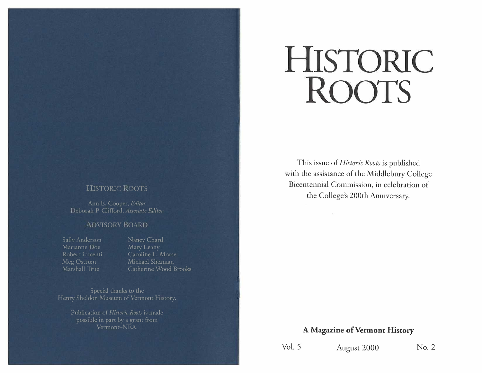# HISTORIC ROOTS

This issue of *Historic Roots* is published with the assistance of the Middlebury College Bicentennial Commission, in celebration of the College's 200th Anniversary.

## **HISTORIC ROOTS**

Ann E. Cooper, Editor Deborah P. Clifford, Associate Editor

#### **ADVISORY BOARD**

Sally Anderson Marianne Doe Robert Lucenti Meg Ostrum Marshall True

Nancy Chard Mary Leahy Caroline L. Morse Michael Sherman Catherine Wood Brooks

Special thanks to the Henry Sheldon Museum of Vermont History.

> Publication of Historic Roots is made possible in part by a grant from Vermont-NEA.

# A Magazine of Vermont History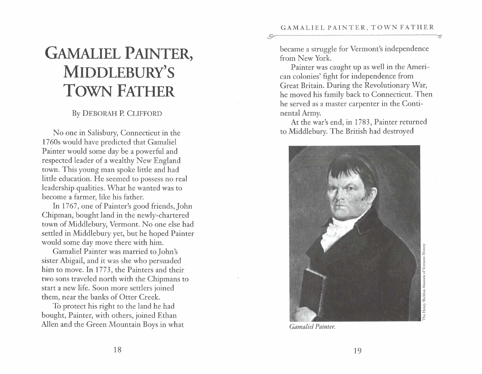# **GAMALIEL PAINTER, MIDDLEBURY'S TOWN FATHER**

# By DEBORAH P. CLIFFORD

No one in Salisbury, Connecticut in the 1760s would have predicted that Gamaliel Painter would some day be a powerful and respected leader of a wealthy New England town. This young man spoke little and had little education. He seemed to possess no real leadership qualities. What he wanted was to become a farmer, like his father.

In 1767, one of Painter's good friends, John Chipman, bought land in the newly-chartered town of Middlebury, Vermont. No one else had settled in Middlebury yet, but he hoped Painter would some day move there with him.

Gamaliel Painter was married to John's sister Abigail, and it was she who persuaded him to move. In 1773, the Painters and their two sons traveled north with the Chipmans to start a new life. Soon more settlers joined them, near the banks of Otter Creek.

To protect his right to the land he had bought, Painter, with others, joined Ethan Allen and the Green Mountain Boys in what became a struggle for Vermont's independence from New York.

 $\odot$ 

Painter was caught up as well in the American colonies' fight for independence from Great Britain. During the Revolutionary War, he moved his family back to Connecticut. Then he served as a master carpenter in the Continental Army.

At the war's end, in 1783, Painter returned to Middlebury. The British had destroyed



*Gamaliel Painter.*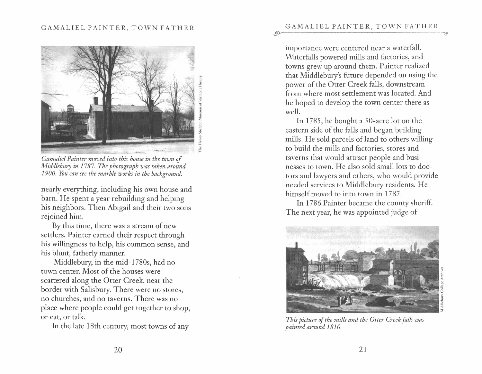#### GAMALIEL PAINTER, TOWN FATHER



*Gamaliel Painter moved into this house in the town of Middlebury in 1787. The photograph was taken around 1900. You can see the marble works in the background.* 

nearly everything, including his own house and barn. He spent a year rebuilding and helping his neighbors. Then Abigail and their two sons rejoined him.

By this time, there was a stream of new settlers. Painter earned their respect through his willingness to help, his common sense, and his blunt, fatherly manner.

Middlebury, in the mid-1780s, had no town center. Most of the houses were scattered along the Otter Creek, near the border with Salisbury. There were no stores, no churches, and no taverns. There was no place where people could get together to shop, or eat, or talk.

In the late 18th century, most towns of any

importance were centered near a waterfall. Waterfalls powered mills and factories, and towns grew up around them. Painter realized that Middlebury's future depended on using the power of the Otter Creek falls, downstream from where most settlement was located. And he hoped to develop the town center there as well.

In 1785, he bought a 50-acre lot on the eastern side of the falls and began building mills. He sold parcels of land to others willing to build the mills and factories, stores and taverns that would attract people and businesses to town. He also sold small lots to doctors and lawyers and others, who would provide needed services to Middlebury residents. He himself moved to into town in 1787.

In 1786 Painter became the county sheriff. The next year, he was appointed judge of



*This picture of the mills and the Otter Creek falls was painted around 1810.*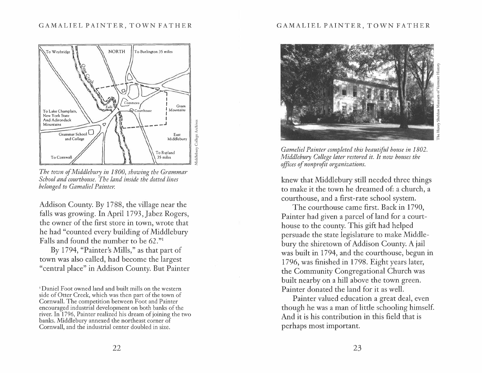#### GAMALIEL PAINTER, TOWN FATHER



*The town of Middlebury in 1800, showing the Grammar School and courthouse. The land inside the dotted lines belonged to Gamaliel Painter.* 

Addison County. By 1788, the village near the falls was growing. In April 1793, Jabez Rogers, the owner of the first store in town, wrote that he had "counted every building of Middlebury Falls and found the number to be 62." 1

By 1794, "Painter's Mills," as that part of town was also called, had become the largest "central place" in Addison County. But Painter

#### GAMALIEL PAINTER, TOWN FATHER



Henry:

*Gameliel Painter completed this beautiful house in 1802. Middlebury College later restored it. It now houses the offices of nonprofit organizations.* 

knew that Middlebury still needed three things to make it the town he dreamed of: a church, a courthouse, and a first-rate school system.

The courthouse came first. Back in 1790, Painter had given a parcel of land for a courthouse to the county. This gift had helped persuade the state legislature to make Middlebury the shiretown of Addison County. A jail was built in 1794, and the courthouse, begun in 1796, was finished in 1798. Eight years later, the Community Congregational Church was built nearby on a hill above the town green. Painter donated the land for it as well.

Painter valued education a great deal, even though he was a man of little schooling himself. And it is his contribution in this field that is perhaps most important.

<sup>&#</sup>x27;Daniel Foot owned land and built mills on the western side of Otter Creek, which was then part of the town of Cornwall. The competition between Foot and Painter encouraged industrial development on both banks of the river. In 1796, Painter realized his dream of joining the two banks. Middlebury annexed the northeast corner of Cornwall, and the industrial center doubled in size.